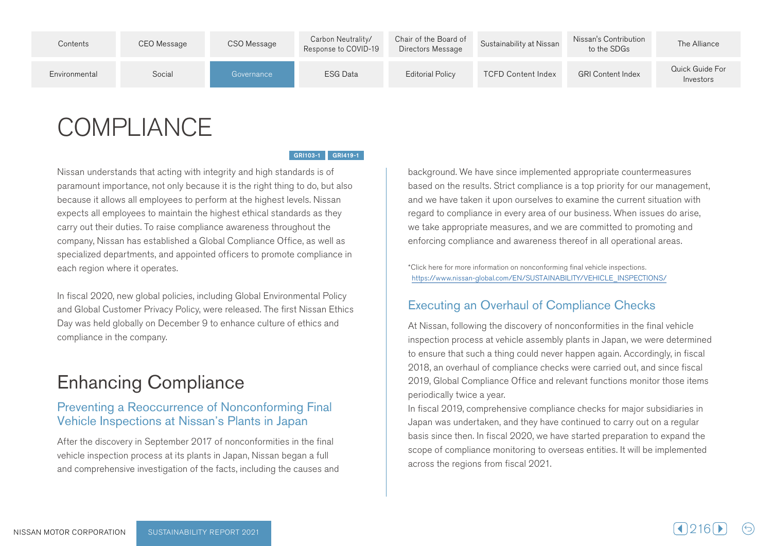| Contents      | CEO Message | CSO Message | Carbon Neutrality/<br>Response to COVID-19 | Chair of the Board of<br>Directors Message | Sustainability at Nissan  | Nissan's Contribution<br>to the SDGs | The Alliance                 |
|---------------|-------------|-------------|--------------------------------------------|--------------------------------------------|---------------------------|--------------------------------------|------------------------------|
| Environmental | Social      | Governance  | ESG Data                                   | <b>Editorial Policy</b>                    | <b>TCFD Content Index</b> | <b>GRI Content Index</b>             | Quick Guide For<br>Investors |

# **COMPLIANCE**

GRI103-1 GRI419-1

Nissan understands that acting with integrity and high standards is of paramount importance, not only because it is the right thing to do, but also because it allows all employees to perform at the highest levels. Nissan expects all employees to maintain the highest ethical standards as they carry out their duties. To raise compliance awareness throughout the company, Nissan has established a Global Compliance Office, as well as specialized departments, and appointed officers to promote compliance in each region where it operates.

In fiscal 2020, new global policies, including Global Environmental Policy and Global Customer Privacy Policy, were released. The first Nissan Ethics Day was held globally on December 9 to enhance culture of ethics and compliance in the company.

# **Enhancing Compliance**

### Preventing a Reoccurrence of Nonconforming Final Vehicle Inspections at Nissan's Plants in Japan

After the discovery in September 2017 of nonconformities in the final vehicle inspection process at its plants in Japan, Nissan began a full and comprehensive investigation of the facts, including the causes and background. We have since implemented appropriate countermeasures based on the results. Strict compliance is a top priority for our management, and we have taken it upon ourselves to examine the current situation with regard to compliance in every area of our business. When issues do arise, we take appropriate measures, and we are committed to promoting and enforcing compliance and awareness thereof in all operational areas.

\*Click here for more information on nonconforming final vehicle inspections. https://www.nissan-global.com/EN/SUSTAINABILITY/VEHICLE INSPECTIONS/

## Executing an Overhaul of Compliance Checks

At Nissan, following the discovery of nonconformities in the final vehicle inspection process at vehicle assembly plants in Japan, we were determined to ensure that such a thing could never happen again. Accordingly, in fiscal 2018, an overhaul of compliance checks were carried out, and since fiscal 2019, Global Compliance Office and relevant functions monitor those items periodically twice a year.

In fiscal 2019, comprehensive compliance checks for major subsidiaries in Japan was undertaken, and they have continued to carry out on a regular basis since then. In fiscal 2020, we have started preparation to expand the scope of compliance monitoring to overseas entities. It will be implemented across the regions from fiscal 2021.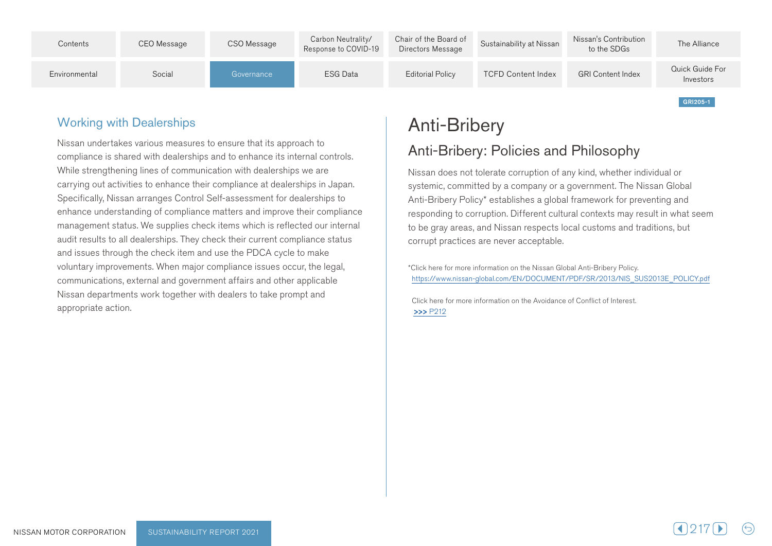

## **Working with Dealerships**

Nissan undertakes various measures to ensure that its approach to compliance is shared with dealerships and to enhance its internal controls. While strengthening lines of communication with dealerships we are carrying out activities to enhance their compliance at dealerships in Japan. Specifically, Nissan arranges Control Self-assessment for dealerships to enhance understanding of compliance matters and improve their compliance management status. We supplies check items which is reflected our internal audit results to all dealerships. They check their current compliance status and issues through the check item and use the PDCA cycle to make voluntary improvements. When major compliance issues occur, the legal, communications, external and government affairs and other applicable Nissan departments work together with dealers to take prompt and appropriate action.

# Anti-Bribery

# Anti-Bribery: Policies and Philosophy

Nissan does not tolerate corruption of any kind, whether individual or systemic, committed by a company or a government. The Nissan Global Anti-Bribery Policy\* establishes a global framework for preventing and responding to corruption. Different cultural contexts may result in what seem to be gray areas, and Nissan respects local customs and traditions, but corrupt practices are never acceptable.

\*Click here for more information on the Nissan Global Anti-Bribery Policy. https://www.nissan-global.com/EN/DOCUMENT/PDF/SR/2013/NIS\_SUS2013E\_POLICY.pdf

Click here for more information on the Avoidance of Conflict of Interest **>>>**P212

GRI205-1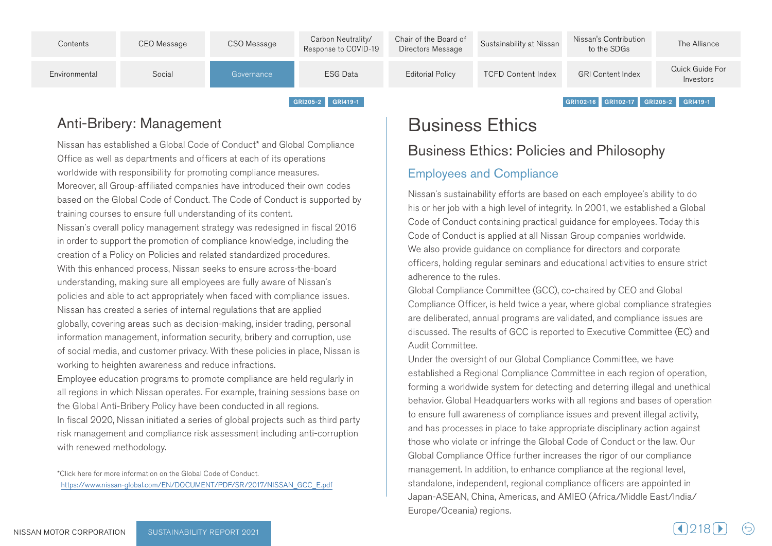

## Anti-Bribery: Management

Nissan has established a Global Code of Conduct<sup>\*</sup> and Global Compliance Office as well as departments and officers at each of its operations worldwide with responsibility for promoting compliance measures. Moreover, all Group-affiliated companies have introduced their own codes based on the Global Code of Conduct. The Code of Conduct is supported by training courses to ensure full understanding of its content. Nissan's overall policy management strategy was redesigned in fiscal 2016 in order to support the promotion of compliance knowledge, including the creation of a Policy on Policies and related standardized procedures. With this enhanced process. Nissan seeks to ensure across-the-board understanding, making sure all employees are fully aware of Nissan's policies and able to act appropriately when faced with compliance issues. Nissan has created a series of internal regulations that are applied globally, covering areas such as decision-making, insider trading, personal information management, information security, bribery and corruption, use of social media, and customer privacy. With these policies in place. Nissan is working to heighten awareness and reduce infractions.

Employee education programs to promote compliance are held regularly in all regions in which Nissan operates. For example, training sessions base on the Global Anti-Bribery Policy have been conducted in all regions. In fiscal 2020, Nissan initiated a series of global projects such as third party risk management and compliance risk assessment including anti-corruption with renewed methodology.

\*Click here for more information on the Global Code of Conduct. https://www.nissan-global.com/EN/DOCUMENT/PDF/SR/2017/NISSAN\_GCC\_E.pdf **Business Ethics** 

**Business Ethics: Policies and Philosophy** 

## **Employees and Compliance**

Nissan's sustainability efforts are based on each employee's ability to do his or her job with a high level of integrity. In 2001, we established a Global Code of Conduct containing practical quidance for employees. Today this Code of Conduct is applied at all Nissan Group companies worldwide. We also provide guidance on compliance for directors and corporate officers, holding regular seminars and educational activities to ensure strict adherence to the rules

Global Compliance Committee (GCC), co-chaired by CEO and Global Compliance Officer, is held twice a year, where global compliance strategies are deliberated, annual programs are validated, and compliance issues are discussed. The results of GCC is reported to Executive Committee (EC) and Audit Committee.

Under the oversight of our Global Compliance Committee, we have established a Regional Compliance Committee in each region of operation, forming a worldwide system for detecting and deterring illegal and unethical behavior. Global Headquarters works with all regions and bases of operation to ensure full awareness of compliance issues and prevent illegal activity. and has processes in place to take appropriate disciplinary action against those who violate or infringe the Global Code of Conduct or the law. Our Global Compliance Office further increases the rigor of our compliance management. In addition, to enhance compliance at the regional level. standalone, independent, regional compliance officers are appointed in Japan-ASEAN, China, Americas, and AMIEO (Africa/Middle East/India/ Europe/Oceania) regions.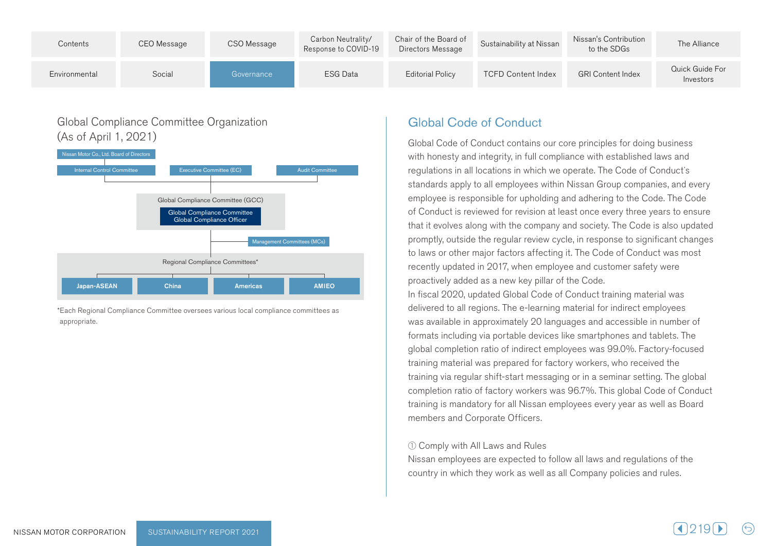

### Global Compliance Committee Organization  $(As of April 1, 2021)$



\*Each Regional Compliance Committee oversees various local compliance committees as .appropriate

## Global Code of Conduct

Global Code of Conduct contains our core principles for doing business with honesty and integrity, in full compliance with established laws and regulations in all locations in which we operate. The Code of Conduct's standards apply to all employees within Nissan Group companies, and every employee is responsible for upholding and adhering to the Code. The Code of Conduct is reviewed for revision at least once every three years to ensure that it evolves along with the company and society. The Code is also updated promptly, outside the regular review cycle, in response to significant changes to laws or other major factors affecting it. The Code of Conduct was most recently updated in 2017, when employee and customer safety were proactively added as a new key pillar of the Code. In fiscal 2020, updated Global Code of Conduct training material was delivered to all regions. The e-learning material for indirect employees was available in approximately 20 languages and accessible in number of formats including via portable devices like smartphones and tablets. The global completion ratio of indirect employees was 99.0%. Factory-focused training material was prepared for factory workers, who received the training via regular shift-start messaging or in a seminar setting. The global completion ratio of factory workers was 96.7%. This global Code of Conduct training is mandatory for all Nissan employees every year as well as Board members and Corporate Officers.

#### $\Omega$  Comply with All Laws and Rules

Nissan employees are expected to follow all laws and regulations of the country in which they work as well as all Company policies and rules.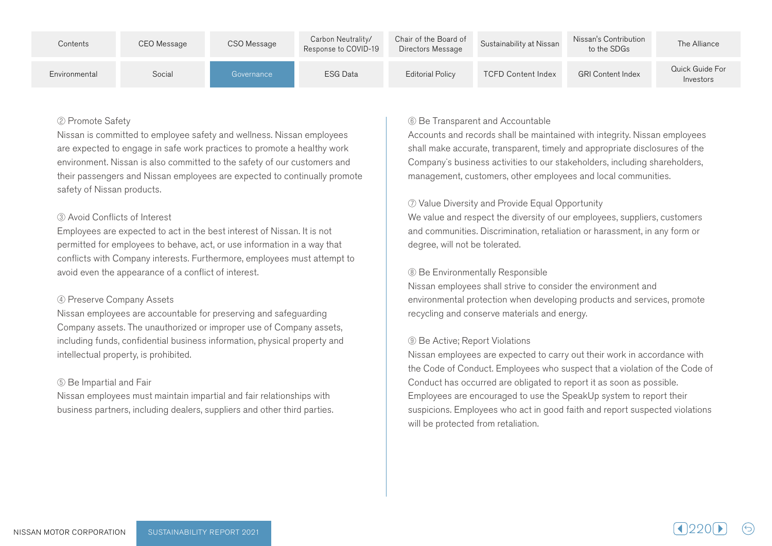| Contents      | CEO Message | CSO Message | Carbon Neutrality/<br>Response to COVID-19 | Chair of the Board of<br>Directors Message | Sustainability at Nissan  | Nissan's Contribution<br>to the SDGs | The Alliance                 |
|---------------|-------------|-------------|--------------------------------------------|--------------------------------------------|---------------------------|--------------------------------------|------------------------------|
| Environmental | Social      | Governance  | <b>ESG Data</b>                            | <b>Editorial Policy</b>                    | <b>TCFD Content Index</b> | <b>GRI Content Index</b>             | Quick Guide For<br>Investors |

#### 2 Promote Safety

Nissan is committed to employee safety and wellness. Nissan employees are expected to engage in safe work practices to promote a healthy work environment. Nissan is also committed to the safety of our customers and their passengers and Nissan employees are expected to continually promote safety of Nissan products.

#### 3) Avoid Conflicts of Interest

Employees are expected to act in the best interest of Nissan. It is not permitted for employees to behave, act, or use information in a way that conflicts with Company interests. Furthermore, employees must attempt to avoid even the appearance of a conflict of interest.

#### 4 Preserve Company Assets

Nissan employees are accountable for preserving and safeguarding Company assets. The unauthorized or improper use of Company assets, including funds, confidential business information, physical property and intellectual property, is prohibited.

#### **5** Be Impartial and Fair

Nissan employees must maintain impartial and fair relationships with business partners, including dealers, suppliers and other third parties.

#### **6** Be Transparent and Accountable

Accounts and records shall be maintained with integrity. Nissan employees shall make accurate, transparent, timely and appropriate disclosures of the Company's business activities to our stakeholders, including shareholders, management, customers, other employees and local communities.

#### ⑦ Value Diversity and Provide Equal Opportunity

We value and respect the diversity of our employees, suppliers, customers and communities. Discrimination, retaliation or harassment, in any form or degree, will not be tolerated.

#### **8** Be Environmentally Responsible

Nissan employees shall strive to consider the environment and environmental protection when developing products and services, promote recycling and conserve materials and energy.

#### **9 Be Active: Report Violations**

Nissan employees are expected to carry out their work in accordance with the Code of Conduct. Employees who suspect that a violation of the Code of Conduct has occurred are obligated to report it as soon as possible. Employees are encouraged to use the SpeakUp system to report their suspicions. Employees who act in good faith and report suspected violations will be protected from retaliation.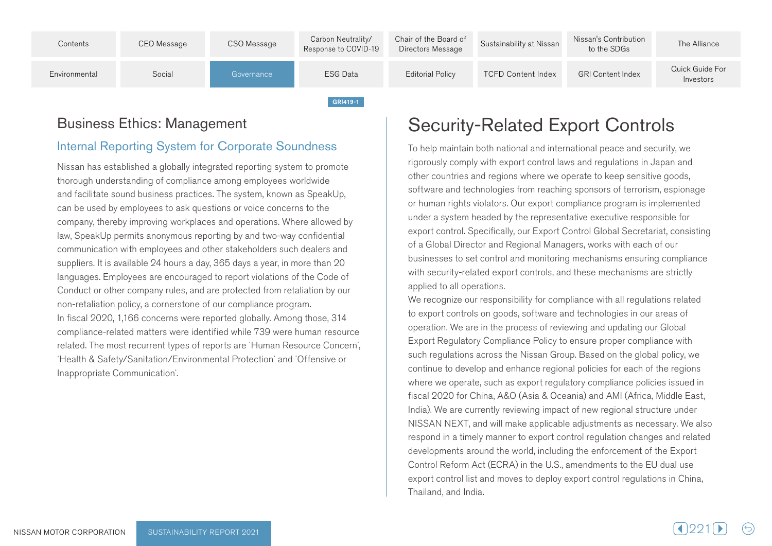

## Business Ethics: Management

## Internal Reporting System for Corporate Soundness

Nissan has established a globally integrated reporting system to promote thorough understanding of compliance among employees worldwide and facilitate sound business practices. The system, known as SpeakUp, can be used by employees to ask questions or voice concerns to the company, thereby improving workplaces and operations. Where allowed by law, SpeakUp permits anonymous reporting by and two-way confidential communication with employees and other stakeholders such dealers and suppliers. It is available 24 hours a day, 365 days a year, in more than 20 languages. Employees are encouraged to report violations of the Code of Conduct or other company rules, and are protected from retaliation by our non-retaliation policy, a cornerstone of our compliance program. In fiscal 2020, 1,166 concerns were reported globally. Among those, 314 compliance-related matters were identified while 739 were human resource related. The most recurrent types of reports are 'Human Resource Concern', 'Health & Safety/Sanitation/Environmental Protection' and 'Offensive or Inappropriate Communication'.

# **Security-Related Export Controls**

To help maintain both national and international peace and security, we rigorously comply with export control laws and regulations in Japan and other countries and regions where we operate to keep sensitive goods, software and technologies from reaching sponsors of terrorism, espionage or human rights violators. Our export compliance program is implemented ander a system headed by the representative executive responsible for export control. Specifically, our Export Control Global Secretariat, consisting of a Global Director and Regional Managers, works with each of our businesses to set control and monitoring mechanisms ensuring compliance with security-related export controls, and these mechanisms are strictly applied to all operations.

We recognize our responsibility for compliance with all regulations related to export controls on goods, software and technologies in our areas of operation. We are in the process of reviewing and updating our Global Export Regulatory Compliance Policy to ensure proper compliance with such regulations across the Nissan Group. Based on the global policy, we continue to develop and enhance regional policies for each of the regions where we operate, such as export regulatory compliance policies issued in fiscal 2020 for China, A&O (Asia & Oceania) and AMI (Africa, Middle East, India). We are currently reviewing impact of new regional structure under NISSAN NEXT, and will make applicable adjustments as necessary. We also respond in a timely manner to export control regulation changes and related developments around the world, including the enforcement of the Export Control Reform Act (ECRA) in the U.S., amendments to the EU dual use export control list and moves to deploy export control regulations in China, Thailand, and India.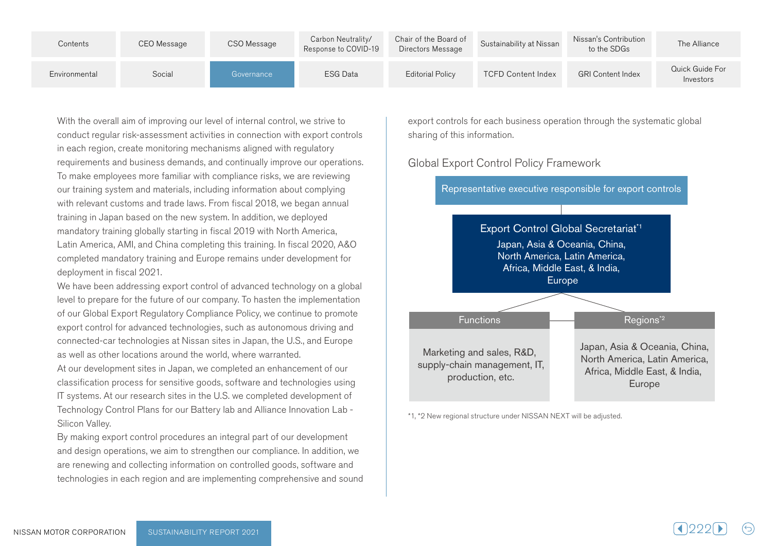| Contents      | CEO Message | CSO Message | Carbon Neutrality/<br>Response to COVID-19 | Chair of the Board of<br>Directors Message | Sustainability at Nissan  | Nissan's Contribution<br>to the SDGs | The Alliance                 |
|---------------|-------------|-------------|--------------------------------------------|--------------------------------------------|---------------------------|--------------------------------------|------------------------------|
| Environmental | Social      | Governance  | <b>ESG Data</b>                            | <b>Editorial Policy</b>                    | <b>TCFD Content Index</b> | <b>GRI Content Index</b>             | Quick Guide For<br>Investors |

With the overall aim of improving our level of internal control, we strive to conduct regular risk-assessment activities in connection with export controls in each region, create monitoring mechanisms aligned with regulatory requirements and business demands, and continually improve our operations. To make employees more familiar with compliance risks, we are reviewing our training system and materials, including information about complying with relevant customs and trade laws. From fiscal 2018, we began annual training in Japan based on the new system. In addition, we deployed mandatory training globally starting in fiscal 2019 with North America, Latin America, AMI, and China completing this training. In fiscal 2020, A&O completed mandatory training and Europe remains under development for deployment in fiscal 2021.

We have been addressing export control of advanced technology on a global level to prepare for the future of our company. To hasten the implementation of our Global Export Regulatory Compliance Policy, we continue to promote export control for advanced technologies, such as autonomous driving and connected-car technologies at Nissan sites in Japan, the U.S., and Europe as well as other locations around the world, where warranted.

At our development sites in Japan, we completed an enhancement of our classification process for sensitive goods, software and technologies using IT systems. At our research sites in the U.S. we completed development of Technology Control Plans for our Battery lab and Alliance Innovation Lab -Silicon Valley.

By making export control procedures an integral part of our development and design operations, we aim to strengthen our compliance. In addition, we are renewing and collecting information on controlled goods, software and technologies in each region and are implementing comprehensive and sound

export controls for each business operation through the systematic global sharing of this information.

### **Global Export Control Policy Framework**



\*1, \*2 New regional structure under NISSAN NEXT will be adjusted.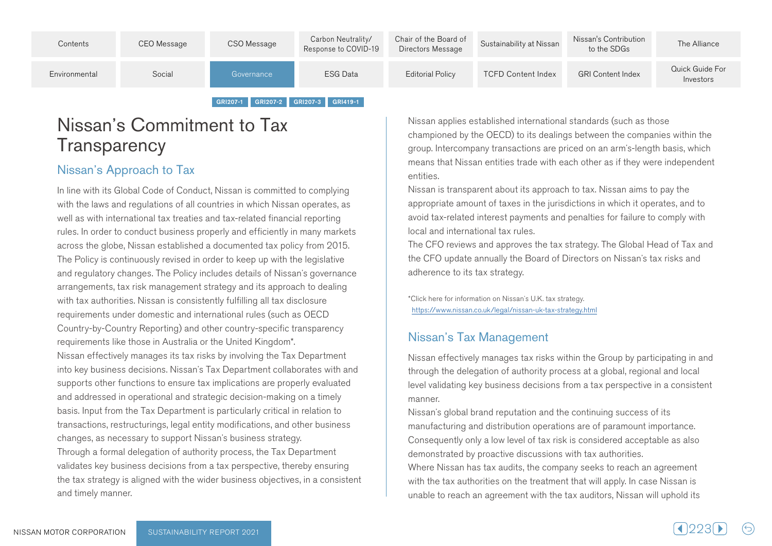| Contents      | CEO Message | CSO Message | Carbon Neutrality/<br>Response to COVID-19 | Chair of the Board of<br>Directors Message | Sustainability at Nissan  | Nissan's Contribution<br>to the SDGs | The Alliance                 |
|---------------|-------------|-------------|--------------------------------------------|--------------------------------------------|---------------------------|--------------------------------------|------------------------------|
| Environmental | Social      | Governance  | <b>ESG Data</b>                            | Editorial Policy                           | <b>TCFD Content Index</b> | <b>GRI Content Index</b>             | Quick Guide For<br>Investors |
|               |             | GRI207-1    | GRI207-2 GRI207-3 GRI419-1                 |                                            |                           |                                      |                              |

# Nissan's Commitment to Tax **Transparency**

## Nissan's Approach to Tax

In line with its Global Code of Conduct, Nissan is committed to complying with the laws and regulations of all countries in which Nissan operates, as well as with international tax treaties and tax-related financial reporting rules. In order to conduct business properly and efficiently in many markets across the globe, Nissan established a documented tax policy from 2015. The Policy is continuously revised in order to keep up with the legislative and regulatory changes. The Policy includes details of Nissan's governance arrangements, tax risk management strategy and its approach to dealing with tax authorities. Nissan is consistently fulfilling all tax disclosure requirements under domestic and international rules (such as OECD Country-by-Country Reporting) and other country-specific transparency requirements like those in Australia or the United Kingdom\*. Nissan effectively manages its tax risks by involving the Tax Department into key business decisions. Nissan's Tax Department collaborates with and supports other functions to ensure tax implications are properly evaluated and addressed in operational and strategic decision-making on a timely basis. Input from the Tax Department is particularly critical in relation to transactions, restructurings, legal entity modifications, and other business changes, as necessary to support Nissan's business strategy. Through a formal delegation of authority process, the Tax Department validates key business decisions from a tax perspective, thereby ensuring the tax strategy is aligned with the wider business objectives, in a consistent and timely manner.

Nissan applies established international standards (such as those championed by the OECD) to its dealings between the companies within the group. Intercompany transactions are priced on an arm's-length basis, which means that Nissan entities trade with each other as if they were independent .entities

Nissan is transparent about its approach to tax. Nissan aims to pay the appropriate amount of taxes in the jurisdictions in which it operates, and to avoid tax-related interest payments and penalties for failure to comply with local and international tax rules.

The CFO reviews and approves the tax strategy. The Global Head of Tax and the CFO update annually the Board of Directors on Nissan's tax risks and adherence to its tax strategy.

\*Click here for information on Nissan's U.K. tax strategy. https://www.nissan.co.uk/legal/nissan-uk-tax-strategy.html

## Nissan's Tax Management

Nissan effectively manages tax risks within the Group by participating in and through the delegation of authority process at a global, regional and local level validating key business decisions from a tax perspective in a consistent .manner

Nissan's global brand reputation and the continuing success of its manufacturing and distribution operations are of paramount importance. Consequently only a low level of tax risk is considered acceptable as also demonstrated by proactive discussions with tax authorities. Where Nissan has tax audits, the company seeks to reach an agreement with the tax authorities on the treatment that will apply. In case Nissan is unable to reach an agreement with the tax auditors, Nissan will uphold its